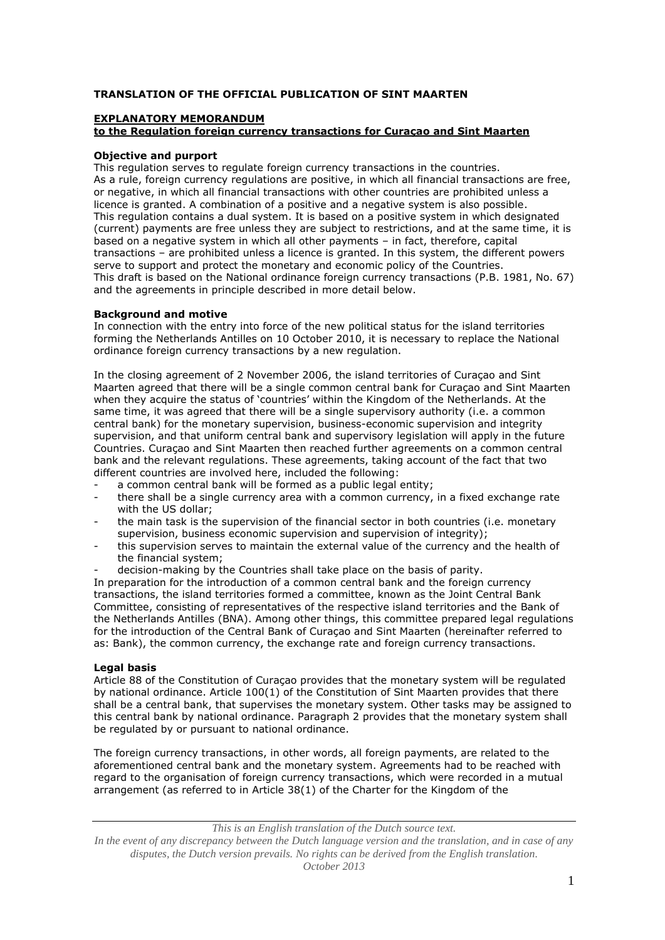# **TRANSLATION OF THE OFFICIAL PUBLICATION OF SINT MAARTEN**

## **EXPLANATORY MEMORANDUM**

# **to the Regulation foreign currency transactions for Curaçao and Sint Maarten**

## **Objective and purport**

This regulation serves to regulate foreign currency transactions in the countries. As a rule, foreign currency regulations are positive, in which all financial transactions are free, or negative, in which all financial transactions with other countries are prohibited unless a licence is granted. A combination of a positive and a negative system is also possible. This regulation contains a dual system. It is based on a positive system in which designated (current) payments are free unless they are subject to restrictions, and at the same time, it is based on a negative system in which all other payments – in fact, therefore, capital transactions – are prohibited unless a licence is granted. In this system, the different powers serve to support and protect the monetary and economic policy of the Countries. This draft is based on the National ordinance foreign currency transactions (P.B. 1981, No. 67) and the agreements in principle described in more detail below.

## **Background and motive**

In connection with the entry into force of the new political status for the island territories forming the Netherlands Antilles on 10 October 2010, it is necessary to replace the National ordinance foreign currency transactions by a new regulation.

In the closing agreement of 2 November 2006, the island territories of Curaçao and Sint Maarten agreed that there will be a single common central bank for Curaçao and Sint Maarten when they acquire the status of 'countries' within the Kingdom of the Netherlands. At the same time, it was agreed that there will be a single supervisory authority (i.e. a common central bank) for the monetary supervision, business-economic supervision and integrity supervision, and that uniform central bank and supervisory legislation will apply in the future Countries. Curaçao and Sint Maarten then reached further agreements on a common central bank and the relevant regulations. These agreements, taking account of the fact that two different countries are involved here, included the following:

- a common central bank will be formed as a public legal entity;
- there shall be a single currency area with a common currency, in a fixed exchange rate with the US dollar;
- the main task is the supervision of the financial sector in both countries (i.e. monetary supervision, business economic supervision and supervision of integrity);
- this supervision serves to maintain the external value of the currency and the health of the financial system;
- decision-making by the Countries shall take place on the basis of parity.

In preparation for the introduction of a common central bank and the foreign currency transactions, the island territories formed a committee, known as the Joint Central Bank Committee, consisting of representatives of the respective island territories and the Bank of the Netherlands Antilles (BNA). Among other things, this committee prepared legal regulations for the introduction of the Central Bank of Curaçao and Sint Maarten (hereinafter referred to as: Bank), the common currency, the exchange rate and foreign currency transactions.

## **Legal basis**

Article 88 of the Constitution of Curaçao provides that the monetary system will be regulated by national ordinance. Article 100(1) of the Constitution of Sint Maarten provides that there shall be a central bank, that supervises the monetary system. Other tasks may be assigned to this central bank by national ordinance. Paragraph 2 provides that the monetary system shall be regulated by or pursuant to national ordinance.

The foreign currency transactions, in other words, all foreign payments, are related to the aforementioned central bank and the monetary system. Agreements had to be reached with regard to the organisation of foreign currency transactions, which were recorded in a mutual arrangement (as referred to in Article 38(1) of the Charter for the Kingdom of the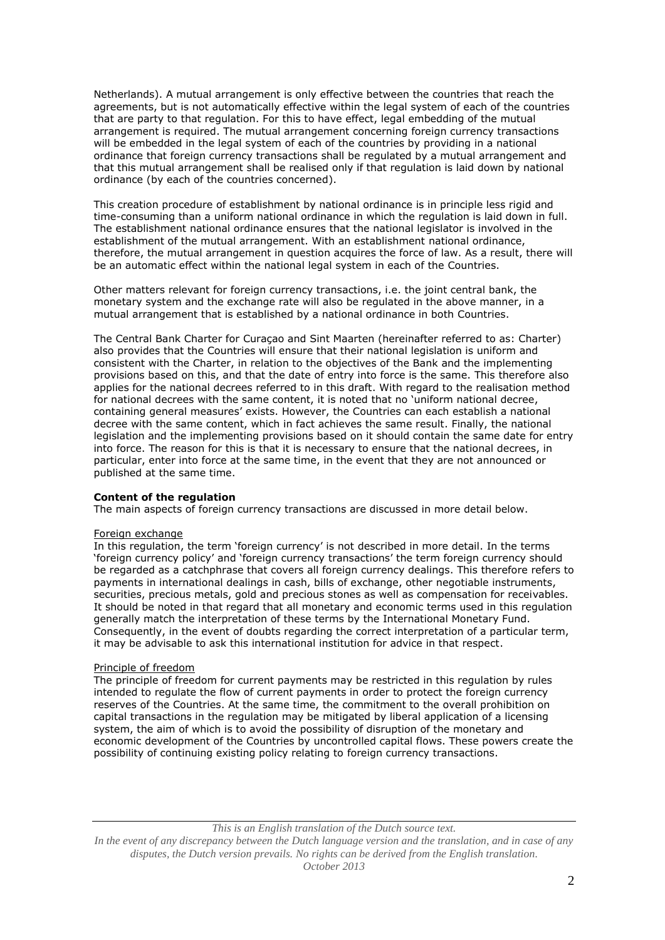Netherlands). A mutual arrangement is only effective between the countries that reach the agreements, but is not automatically effective within the legal system of each of the countries that are party to that regulation. For this to have effect, legal embedding of the mutual arrangement is required. The mutual arrangement concerning foreign currency transactions will be embedded in the legal system of each of the countries by providing in a national ordinance that foreign currency transactions shall be regulated by a mutual arrangement and that this mutual arrangement shall be realised only if that regulation is laid down by national ordinance (by each of the countries concerned).

This creation procedure of establishment by national ordinance is in principle less rigid and time-consuming than a uniform national ordinance in which the regulation is laid down in full. The establishment national ordinance ensures that the national legislator is involved in the establishment of the mutual arrangement. With an establishment national ordinance, therefore, the mutual arrangement in question acquires the force of law. As a result, there will be an automatic effect within the national legal system in each of the Countries.

Other matters relevant for foreign currency transactions, i.e. the joint central bank, the monetary system and the exchange rate will also be regulated in the above manner, in a mutual arrangement that is established by a national ordinance in both Countries.

The Central Bank Charter for Curaçao and Sint Maarten (hereinafter referred to as: Charter) also provides that the Countries will ensure that their national legislation is uniform and consistent with the Charter, in relation to the objectives of the Bank and the implementing provisions based on this, and that the date of entry into force is the same. This therefore also applies for the national decrees referred to in this draft. With regard to the realisation method for national decrees with the same content, it is noted that no 'uniform national decree, containing general measures' exists. However, the Countries can each establish a national decree with the same content, which in fact achieves the same result. Finally, the national legislation and the implementing provisions based on it should contain the same date for entry into force. The reason for this is that it is necessary to ensure that the national decrees, in particular, enter into force at the same time, in the event that they are not announced or published at the same time.

## **Content of the regulation**

The main aspects of foreign currency transactions are discussed in more detail below.

#### Foreign exchange

In this regulation, the term 'foreign currency' is not described in more detail. In the terms 'foreign currency policy' and 'foreign currency transactions' the term foreign currency should be regarded as a catchphrase that covers all foreign currency dealings. This therefore refers to payments in international dealings in cash, bills of exchange, other negotiable instruments, securities, precious metals, gold and precious stones as well as compensation for receivables. It should be noted in that regard that all monetary and economic terms used in this regulation generally match the interpretation of these terms by the International Monetary Fund. Consequently, in the event of doubts regarding the correct interpretation of a particular term, it may be advisable to ask this international institution for advice in that respect.

## Principle of freedom

The principle of freedom for current payments may be restricted in this regulation by rules intended to regulate the flow of current payments in order to protect the foreign currency reserves of the Countries. At the same time, the commitment to the overall prohibition on capital transactions in the regulation may be mitigated by liberal application of a licensing system, the aim of which is to avoid the possibility of disruption of the monetary and economic development of the Countries by uncontrolled capital flows. These powers create the possibility of continuing existing policy relating to foreign currency transactions.

*This is an English translation of the Dutch source text.*

*In the event of any discrepancy between the Dutch language version and the translation, and in case of any disputes, the Dutch version prevails. No rights can be derived from the English translation. October 2013*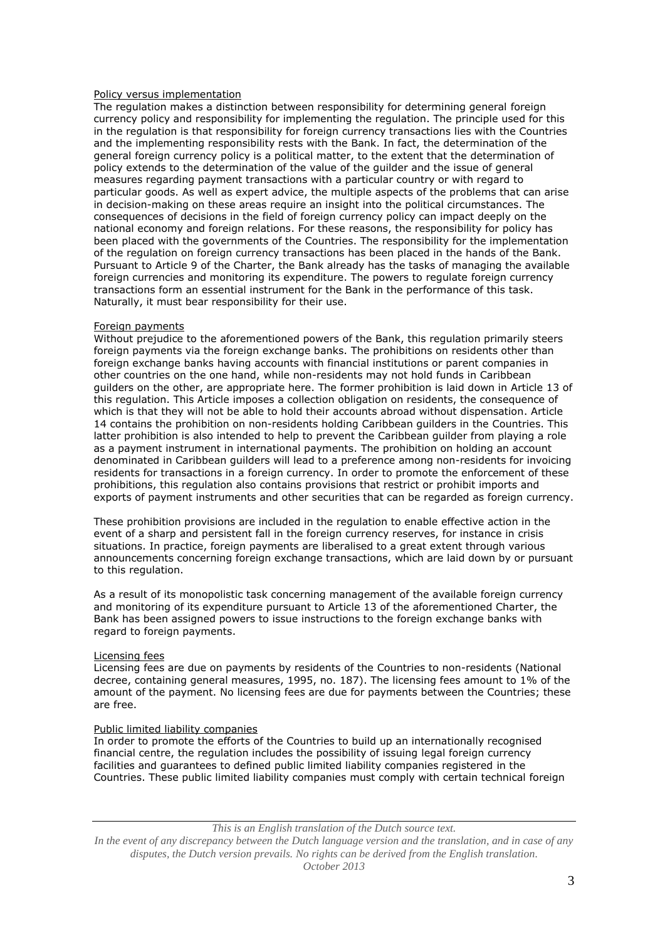### Policy versus implementation

The regulation makes a distinction between responsibility for determining general foreign currency policy and responsibility for implementing the regulation. The principle used for this in the regulation is that responsibility for foreign currency transactions lies with the Countries and the implementing responsibility rests with the Bank. In fact, the determination of the general foreign currency policy is a political matter, to the extent that the determination of policy extends to the determination of the value of the guilder and the issue of general measures regarding payment transactions with a particular country or with regard to particular goods. As well as expert advice, the multiple aspects of the problems that can arise in decision-making on these areas require an insight into the political circumstances. The consequences of decisions in the field of foreign currency policy can impact deeply on the national economy and foreign relations. For these reasons, the responsibility for policy has been placed with the governments of the Countries. The responsibility for the implementation of the regulation on foreign currency transactions has been placed in the hands of the Bank. Pursuant to Article 9 of the Charter, the Bank already has the tasks of managing the available foreign currencies and monitoring its expenditure. The powers to regulate foreign currency transactions form an essential instrument for the Bank in the performance of this task. Naturally, it must bear responsibility for their use.

### Foreign payments

Without prejudice to the aforementioned powers of the Bank, this regulation primarily steers foreign payments via the foreign exchange banks. The prohibitions on residents other than foreign exchange banks having accounts with financial institutions or parent companies in other countries on the one hand, while non-residents may not hold funds in Caribbean guilders on the other, are appropriate here. The former prohibition is laid down in Article 13 of this regulation. This Article imposes a collection obligation on residents, the consequence of which is that they will not be able to hold their accounts abroad without dispensation. Article 14 contains the prohibition on non-residents holding Caribbean guilders in the Countries. This latter prohibition is also intended to help to prevent the Caribbean guilder from playing a role as a payment instrument in international payments. The prohibition on holding an account denominated in Caribbean guilders will lead to a preference among non-residents for invoicing residents for transactions in a foreign currency. In order to promote the enforcement of these prohibitions, this regulation also contains provisions that restrict or prohibit imports and exports of payment instruments and other securities that can be regarded as foreign currency.

These prohibition provisions are included in the regulation to enable effective action in the event of a sharp and persistent fall in the foreign currency reserves, for instance in crisis situations. In practice, foreign payments are liberalised to a great extent through various announcements concerning foreign exchange transactions, which are laid down by or pursuant to this regulation.

As a result of its monopolistic task concerning management of the available foreign currency and monitoring of its expenditure pursuant to Article 13 of the aforementioned Charter, the Bank has been assigned powers to issue instructions to the foreign exchange banks with regard to foreign payments.

#### Licensing fees

Licensing fees are due on payments by residents of the Countries to non-residents (National decree, containing general measures, 1995, no. 187). The licensing fees amount to 1% of the amount of the payment. No licensing fees are due for payments between the Countries; these are free.

## Public limited liability companies

In order to promote the efforts of the Countries to build up an internationally recognised financial centre, the regulation includes the possibility of issuing legal foreign currency facilities and guarantees to defined public limited liability companies registered in the Countries. These public limited liability companies must comply with certain technical foreign

*This is an English translation of the Dutch source text.*

*In the event of any discrepancy between the Dutch language version and the translation, and in case of any disputes, the Dutch version prevails. No rights can be derived from the English translation. October 2013*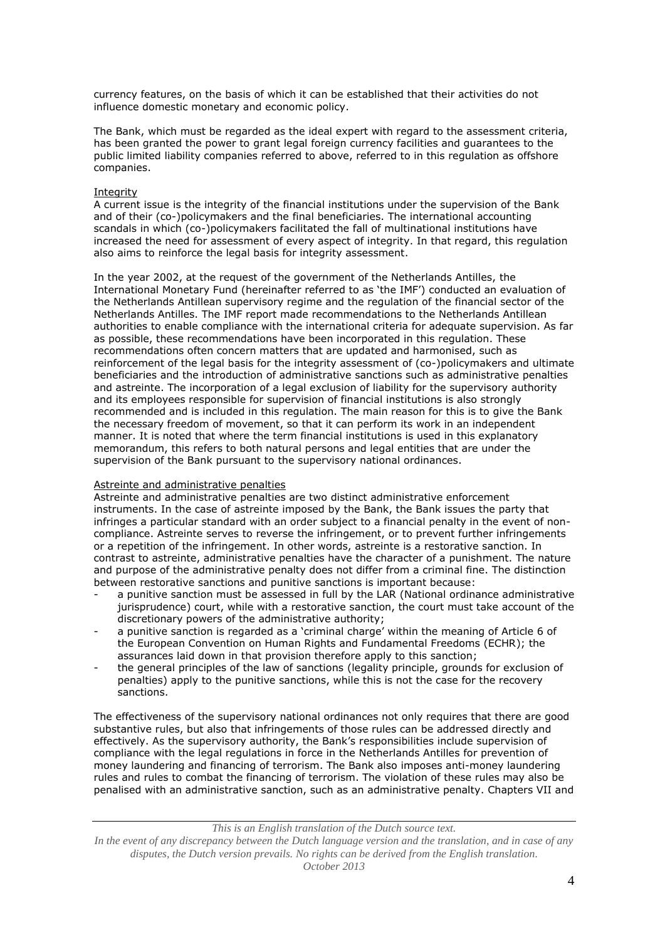currency features, on the basis of which it can be established that their activities do not influence domestic monetary and economic policy.

The Bank, which must be regarded as the ideal expert with regard to the assessment criteria, has been granted the power to grant legal foreign currency facilities and guarantees to the public limited liability companies referred to above, referred to in this regulation as offshore companies.

## Integrity

A current issue is the integrity of the financial institutions under the supervision of the Bank and of their (co-)policymakers and the final beneficiaries. The international accounting scandals in which (co-)policymakers facilitated the fall of multinational institutions have increased the need for assessment of every aspect of integrity. In that regard, this regulation also aims to reinforce the legal basis for integrity assessment.

In the year 2002, at the request of the government of the Netherlands Antilles, the International Monetary Fund (hereinafter referred to as 'the IMF') conducted an evaluation of the Netherlands Antillean supervisory regime and the regulation of the financial sector of the Netherlands Antilles. The IMF report made recommendations to the Netherlands Antillean authorities to enable compliance with the international criteria for adequate supervision. As far as possible, these recommendations have been incorporated in this regulation. These recommendations often concern matters that are updated and harmonised, such as reinforcement of the legal basis for the integrity assessment of (co-)policymakers and ultimate beneficiaries and the introduction of administrative sanctions such as administrative penalties and astreinte. The incorporation of a legal exclusion of liability for the supervisory authority and its employees responsible for supervision of financial institutions is also strongly recommended and is included in this regulation. The main reason for this is to give the Bank the necessary freedom of movement, so that it can perform its work in an independent manner. It is noted that where the term financial institutions is used in this explanatory memorandum, this refers to both natural persons and legal entities that are under the supervision of the Bank pursuant to the supervisory national ordinances.

#### Astreinte and administrative penalties

Astreinte and administrative penalties are two distinct administrative enforcement instruments. In the case of astreinte imposed by the Bank, the Bank issues the party that infringes a particular standard with an order subject to a financial penalty in the event of noncompliance. Astreinte serves to reverse the infringement, or to prevent further infringements or a repetition of the infringement. In other words, astreinte is a restorative sanction. In contrast to astreinte, administrative penalties have the character of a punishment. The nature and purpose of the administrative penalty does not differ from a criminal fine. The distinction between restorative sanctions and punitive sanctions is important because:

- a punitive sanction must be assessed in full by the LAR (National ordinance administrative jurisprudence) court, while with a restorative sanction, the court must take account of the discretionary powers of the administrative authority;
- a punitive sanction is regarded as a 'criminal charge' within the meaning of Article 6 of the European Convention on Human Rights and Fundamental Freedoms (ECHR); the assurances laid down in that provision therefore apply to this sanction;
- the general principles of the law of sanctions (legality principle, grounds for exclusion of penalties) apply to the punitive sanctions, while this is not the case for the recovery sanctions.

The effectiveness of the supervisory national ordinances not only requires that there are good substantive rules, but also that infringements of those rules can be addressed directly and effectively. As the supervisory authority, the Bank's responsibilities include supervision of compliance with the legal regulations in force in the Netherlands Antilles for prevention of money laundering and financing of terrorism. The Bank also imposes anti-money laundering rules and rules to combat the financing of terrorism. The violation of these rules may also be penalised with an administrative sanction, such as an administrative penalty. Chapters VII and

*In the event of any discrepancy between the Dutch language version and the translation, and in case of any disputes, the Dutch version prevails. No rights can be derived from the English translation. October 2013*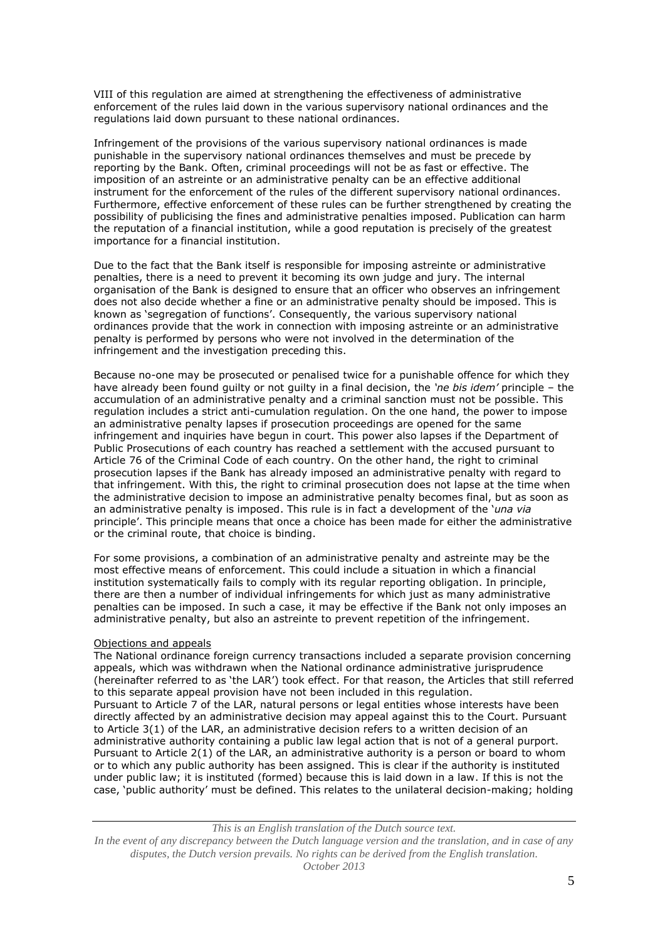VIII of this regulation are aimed at strengthening the effectiveness of administrative enforcement of the rules laid down in the various supervisory national ordinances and the regulations laid down pursuant to these national ordinances.

Infringement of the provisions of the various supervisory national ordinances is made punishable in the supervisory national ordinances themselves and must be precede by reporting by the Bank. Often, criminal proceedings will not be as fast or effective. The imposition of an astreinte or an administrative penalty can be an effective additional instrument for the enforcement of the rules of the different supervisory national ordinances. Furthermore, effective enforcement of these rules can be further strengthened by creating the possibility of publicising the fines and administrative penalties imposed. Publication can harm the reputation of a financial institution, while a good reputation is precisely of the greatest importance for a financial institution.

Due to the fact that the Bank itself is responsible for imposing astreinte or administrative penalties, there is a need to prevent it becoming its own judge and jury. The internal organisation of the Bank is designed to ensure that an officer who observes an infringement does not also decide whether a fine or an administrative penalty should be imposed. This is known as 'segregation of functions'. Consequently, the various supervisory national ordinances provide that the work in connection with imposing astreinte or an administrative penalty is performed by persons who were not involved in the determination of the infringement and the investigation preceding this.

Because no-one may be prosecuted or penalised twice for a punishable offence for which they have already been found guilty or not guilty in a final decision, the *'ne bis idem'* principle – the accumulation of an administrative penalty and a criminal sanction must not be possible. This regulation includes a strict anti-cumulation regulation. On the one hand, the power to impose an administrative penalty lapses if prosecution proceedings are opened for the same infringement and inquiries have begun in court. This power also lapses if the Department of Public Prosecutions of each country has reached a settlement with the accused pursuant to Article 76 of the Criminal Code of each country. On the other hand, the right to criminal prosecution lapses if the Bank has already imposed an administrative penalty with regard to that infringement. With this, the right to criminal prosecution does not lapse at the time when the administrative decision to impose an administrative penalty becomes final, but as soon as an administrative penalty is imposed. This rule is in fact a development of the '*una via* principle'. This principle means that once a choice has been made for either the administrative or the criminal route, that choice is binding.

For some provisions, a combination of an administrative penalty and astreinte may be the most effective means of enforcement. This could include a situation in which a financial institution systematically fails to comply with its regular reporting obligation. In principle, there are then a number of individual infringements for which just as many administrative penalties can be imposed. In such a case, it may be effective if the Bank not only imposes an administrative penalty, but also an astreinte to prevent repetition of the infringement.

#### Objections and appeals

The National ordinance foreign currency transactions included a separate provision concerning appeals, which was withdrawn when the National ordinance administrative jurisprudence (hereinafter referred to as 'the LAR') took effect. For that reason, the Articles that still referred to this separate appeal provision have not been included in this regulation. Pursuant to Article 7 of the LAR, natural persons or legal entities whose interests have been directly affected by an administrative decision may appeal against this to the Court. Pursuant to Article 3(1) of the LAR, an administrative decision refers to a written decision of an administrative authority containing a public law legal action that is not of a general purport. Pursuant to Article 2(1) of the LAR, an administrative authority is a person or board to whom or to which any public authority has been assigned. This is clear if the authority is instituted under public law; it is instituted (formed) because this is laid down in a law. If this is not the case, 'public authority' must be defined. This relates to the unilateral decision-making; holding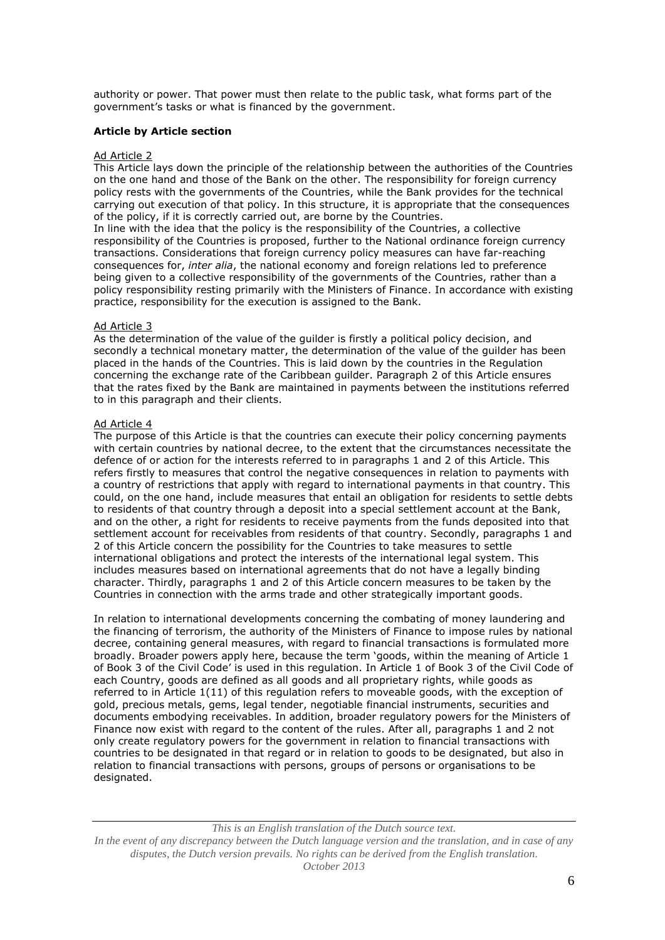authority or power. That power must then relate to the public task, what forms part of the government's tasks or what is financed by the government.

## **Article by Article section**

#### Ad Article 2

This Article lays down the principle of the relationship between the authorities of the Countries on the one hand and those of the Bank on the other. The responsibility for foreign currency policy rests with the governments of the Countries, while the Bank provides for the technical carrying out execution of that policy. In this structure, it is appropriate that the consequences of the policy, if it is correctly carried out, are borne by the Countries.

In line with the idea that the policy is the responsibility of the Countries, a collective responsibility of the Countries is proposed, further to the National ordinance foreign currency transactions. Considerations that foreign currency policy measures can have far-reaching consequences for, *inter alia*, the national economy and foreign relations led to preference being given to a collective responsibility of the governments of the Countries, rather than a policy responsibility resting primarily with the Ministers of Finance. In accordance with existing practice, responsibility for the execution is assigned to the Bank.

#### Ad Article 3

As the determination of the value of the guilder is firstly a political policy decision, and secondly a technical monetary matter, the determination of the value of the guilder has been placed in the hands of the Countries. This is laid down by the countries in the Regulation concerning the exchange rate of the Caribbean guilder. Paragraph 2 of this Article ensures that the rates fixed by the Bank are maintained in payments between the institutions referred to in this paragraph and their clients.

### Ad Article 4

The purpose of this Article is that the countries can execute their policy concerning payments with certain countries by national decree, to the extent that the circumstances necessitate the defence of or action for the interests referred to in paragraphs 1 and 2 of this Article. This refers firstly to measures that control the negative consequences in relation to payments with a country of restrictions that apply with regard to international payments in that country. This could, on the one hand, include measures that entail an obligation for residents to settle debts to residents of that country through a deposit into a special settlement account at the Bank, and on the other, a right for residents to receive payments from the funds deposited into that settlement account for receivables from residents of that country. Secondly, paragraphs 1 and 2 of this Article concern the possibility for the Countries to take measures to settle international obligations and protect the interests of the international legal system. This includes measures based on international agreements that do not have a legally binding character. Thirdly, paragraphs 1 and 2 of this Article concern measures to be taken by the Countries in connection with the arms trade and other strategically important goods.

In relation to international developments concerning the combating of money laundering and the financing of terrorism, the authority of the Ministers of Finance to impose rules by national decree, containing general measures, with regard to financial transactions is formulated more broadly. Broader powers apply here, because the term 'goods, within the meaning of Article 1 of Book 3 of the Civil Code' is used in this regulation. In Article 1 of Book 3 of the Civil Code of each Country, goods are defined as all goods and all proprietary rights, while goods as referred to in Article 1(11) of this regulation refers to moveable goods, with the exception of gold, precious metals, gems, legal tender, negotiable financial instruments, securities and documents embodying receivables. In addition, broader regulatory powers for the Ministers of Finance now exist with regard to the content of the rules. After all, paragraphs 1 and 2 not only create regulatory powers for the government in relation to financial transactions with countries to be designated in that regard or in relation to goods to be designated, but also in relation to financial transactions with persons, groups of persons or organisations to be designated.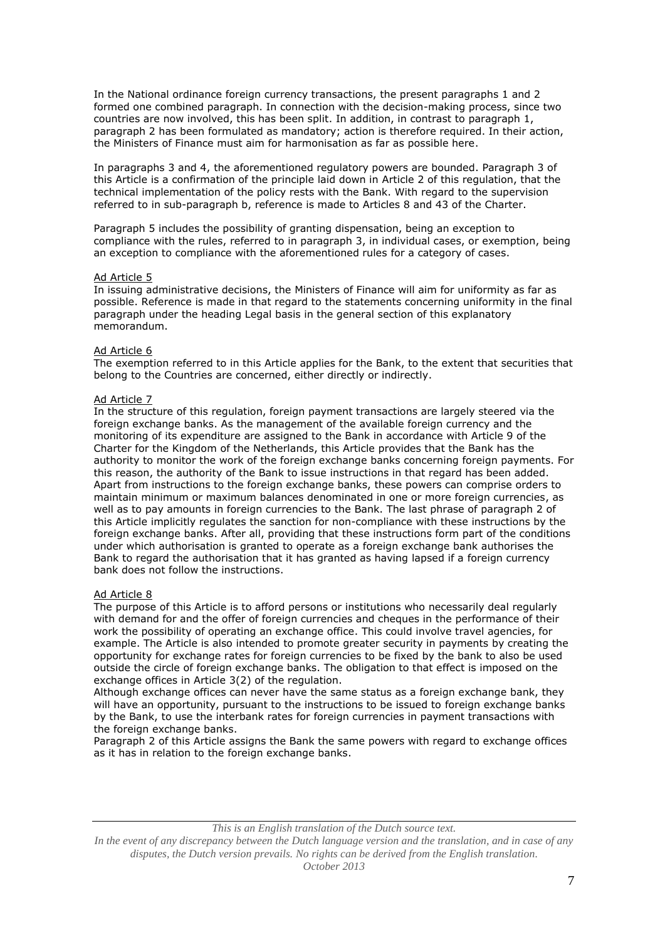In the National ordinance foreign currency transactions, the present paragraphs 1 and 2 formed one combined paragraph. In connection with the decision-making process, since two countries are now involved, this has been split. In addition, in contrast to paragraph 1, paragraph 2 has been formulated as mandatory; action is therefore required. In their action, the Ministers of Finance must aim for harmonisation as far as possible here.

In paragraphs 3 and 4, the aforementioned regulatory powers are bounded. Paragraph 3 of this Article is a confirmation of the principle laid down in Article 2 of this regulation, that the technical implementation of the policy rests with the Bank. With regard to the supervision referred to in sub-paragraph b, reference is made to Articles 8 and 43 of the Charter.

Paragraph 5 includes the possibility of granting dispensation, being an exception to compliance with the rules, referred to in paragraph 3, in individual cases, or exemption, being an exception to compliance with the aforementioned rules for a category of cases.

#### Ad Article 5

In issuing administrative decisions, the Ministers of Finance will aim for uniformity as far as possible. Reference is made in that regard to the statements concerning uniformity in the final paragraph under the heading Legal basis in the general section of this explanatory memorandum.

### Ad Article 6

The exemption referred to in this Article applies for the Bank, to the extent that securities that belong to the Countries are concerned, either directly or indirectly.

### Ad Article 7

In the structure of this regulation, foreign payment transactions are largely steered via the foreign exchange banks. As the management of the available foreign currency and the monitoring of its expenditure are assigned to the Bank in accordance with Article 9 of the Charter for the Kingdom of the Netherlands, this Article provides that the Bank has the authority to monitor the work of the foreign exchange banks concerning foreign payments. For this reason, the authority of the Bank to issue instructions in that regard has been added. Apart from instructions to the foreign exchange banks, these powers can comprise orders to maintain minimum or maximum balances denominated in one or more foreign currencies, as well as to pay amounts in foreign currencies to the Bank. The last phrase of paragraph 2 of this Article implicitly regulates the sanction for non-compliance with these instructions by the foreign exchange banks. After all, providing that these instructions form part of the conditions under which authorisation is granted to operate as a foreign exchange bank authorises the Bank to regard the authorisation that it has granted as having lapsed if a foreign currency bank does not follow the instructions.

#### Ad Article 8

The purpose of this Article is to afford persons or institutions who necessarily deal regularly with demand for and the offer of foreign currencies and cheques in the performance of their work the possibility of operating an exchange office. This could involve travel agencies, for example. The Article is also intended to promote greater security in payments by creating the opportunity for exchange rates for foreign currencies to be fixed by the bank to also be used outside the circle of foreign exchange banks. The obligation to that effect is imposed on the exchange offices in Article 3(2) of the regulation.

Although exchange offices can never have the same status as a foreign exchange bank, they will have an opportunity, pursuant to the instructions to be issued to foreign exchange banks by the Bank, to use the interbank rates for foreign currencies in payment transactions with the foreign exchange banks.

Paragraph 2 of this Article assigns the Bank the same powers with regard to exchange offices as it has in relation to the foreign exchange banks.

*This is an English translation of the Dutch source text.*

*In the event of any discrepancy between the Dutch language version and the translation, and in case of any disputes, the Dutch version prevails. No rights can be derived from the English translation.*

*October 2013*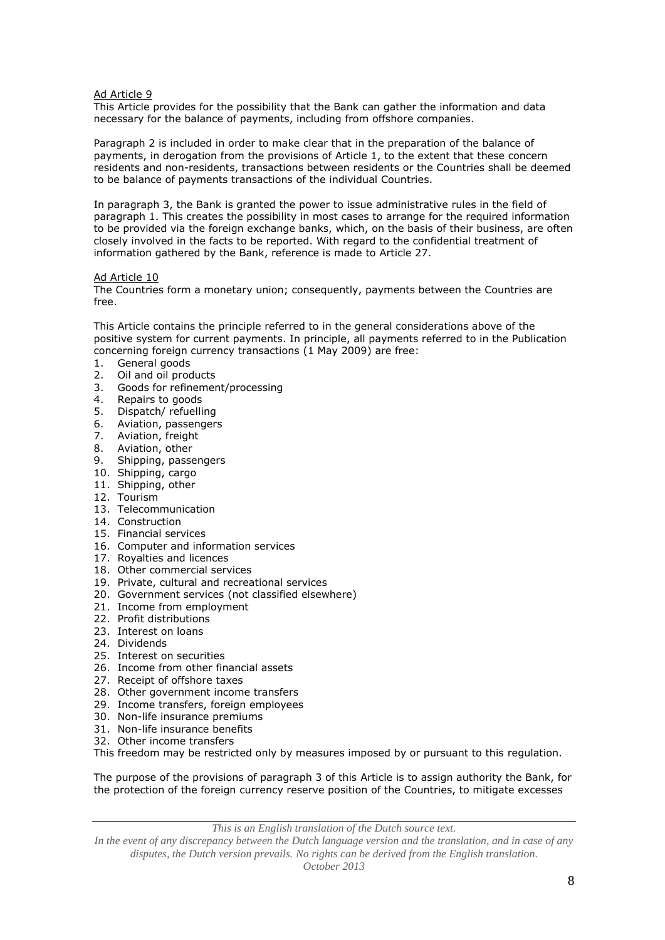## Ad Article 9

This Article provides for the possibility that the Bank can gather the information and data necessary for the balance of payments, including from offshore companies.

Paragraph 2 is included in order to make clear that in the preparation of the balance of payments, in derogation from the provisions of Article 1, to the extent that these concern residents and non-residents, transactions between residents or the Countries shall be deemed to be balance of payments transactions of the individual Countries.

In paragraph 3, the Bank is granted the power to issue administrative rules in the field of paragraph 1. This creates the possibility in most cases to arrange for the required information to be provided via the foreign exchange banks, which, on the basis of their business, are often closely involved in the facts to be reported. With regard to the confidential treatment of information gathered by the Bank, reference is made to Article 27.

### Ad Article 10

The Countries form a monetary union; consequently, payments between the Countries are free.

This Article contains the principle referred to in the general considerations above of the positive system for current payments. In principle, all payments referred to in the Publication concerning foreign currency transactions (1 May 2009) are free:

- 1. General goods
- 2. Oil and oil products
- 3. Goods for refinement/processing
- 4. Repairs to goods
- 5. Dispatch/ refuelling
- 6. Aviation, passengers
- 7. Aviation, freight
- 8. Aviation, other
- 9. Shipping, passengers
- 10. Shipping, cargo
- 11. Shipping, other
- 12. Tourism
- 13. Telecommunication
- 14. Construction
- 15. Financial services
- 16. Computer and information services
- 17. Royalties and licences
- 18. Other commercial services
- 19. Private, cultural and recreational services
- 20. Government services (not classified elsewhere)
- 21. Income from employment
- 22. Profit distributions
- 23. Interest on loans
- 24. Dividends
- 25. Interest on securities
- 26. Income from other financial assets
- 27. Receipt of offshore taxes
- 28. Other government income transfers
- 29. Income transfers, foreign employees
- 30. Non-life insurance premiums
- 31. Non-life insurance benefits
- 32. Other income transfers

This freedom may be restricted only by measures imposed by or pursuant to this regulation.

The purpose of the provisions of paragraph 3 of this Article is to assign authority the Bank, for the protection of the foreign currency reserve position of the Countries, to mitigate excesses

*This is an English translation of the Dutch source text.*

*In the event of any discrepancy between the Dutch language version and the translation, and in case of any disputes, the Dutch version prevails. No rights can be derived from the English translation.*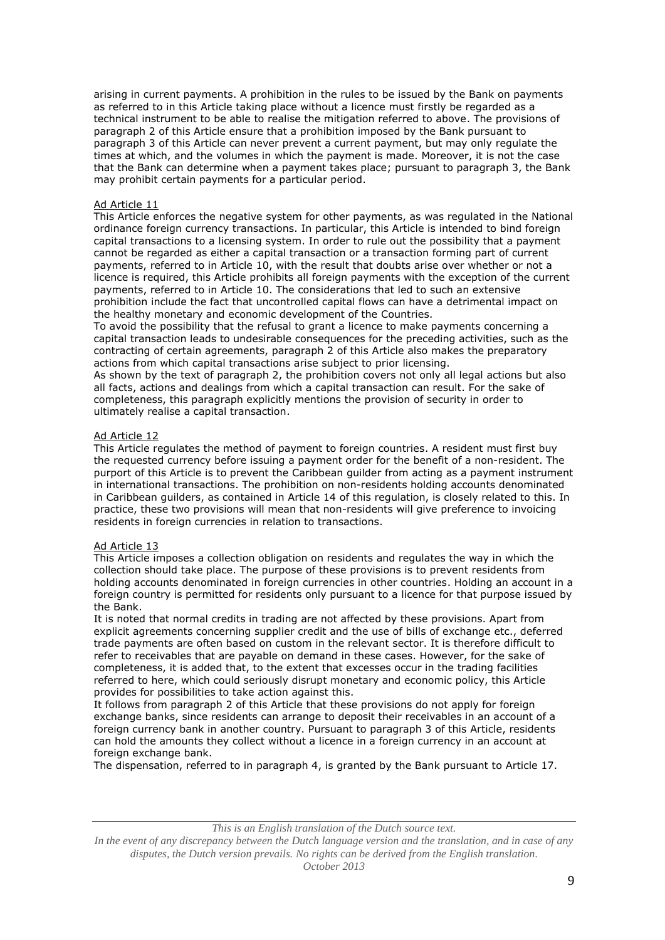arising in current payments. A prohibition in the rules to be issued by the Bank on payments as referred to in this Article taking place without a licence must firstly be regarded as a technical instrument to be able to realise the mitigation referred to above. The provisions of paragraph 2 of this Article ensure that a prohibition imposed by the Bank pursuant to paragraph 3 of this Article can never prevent a current payment, but may only regulate the times at which, and the volumes in which the payment is made. Moreover, it is not the case that the Bank can determine when a payment takes place; pursuant to paragraph 3, the Bank may prohibit certain payments for a particular period.

## Ad Article 11

This Article enforces the negative system for other payments, as was regulated in the National ordinance foreign currency transactions. In particular, this Article is intended to bind foreign capital transactions to a licensing system. In order to rule out the possibility that a payment cannot be regarded as either a capital transaction or a transaction forming part of current payments, referred to in Article 10, with the result that doubts arise over whether or not a licence is required, this Article prohibits all foreign payments with the exception of the current payments, referred to in Article 10. The considerations that led to such an extensive prohibition include the fact that uncontrolled capital flows can have a detrimental impact on the healthy monetary and economic development of the Countries.

To avoid the possibility that the refusal to grant a licence to make payments concerning a capital transaction leads to undesirable consequences for the preceding activities, such as the contracting of certain agreements, paragraph 2 of this Article also makes the preparatory actions from which capital transactions arise subject to prior licensing.

As shown by the text of paragraph 2, the prohibition covers not only all legal actions but also all facts, actions and dealings from which a capital transaction can result. For the sake of completeness, this paragraph explicitly mentions the provision of security in order to ultimately realise a capital transaction.

### Ad Article 12

This Article regulates the method of payment to foreign countries. A resident must first buy the requested currency before issuing a payment order for the benefit of a non-resident. The purport of this Article is to prevent the Caribbean guilder from acting as a payment instrument in international transactions. The prohibition on non-residents holding accounts denominated in Caribbean guilders, as contained in Article 14 of this regulation, is closely related to this. In practice, these two provisions will mean that non-residents will give preference to invoicing residents in foreign currencies in relation to transactions.

## Ad Article 13

This Article imposes a collection obligation on residents and regulates the way in which the collection should take place. The purpose of these provisions is to prevent residents from holding accounts denominated in foreign currencies in other countries. Holding an account in a foreign country is permitted for residents only pursuant to a licence for that purpose issued by the Bank.

It is noted that normal credits in trading are not affected by these provisions. Apart from explicit agreements concerning supplier credit and the use of bills of exchange etc., deferred trade payments are often based on custom in the relevant sector. It is therefore difficult to refer to receivables that are payable on demand in these cases. However, for the sake of completeness, it is added that, to the extent that excesses occur in the trading facilities referred to here, which could seriously disrupt monetary and economic policy, this Article provides for possibilities to take action against this.

It follows from paragraph 2 of this Article that these provisions do not apply for foreign exchange banks, since residents can arrange to deposit their receivables in an account of a foreign currency bank in another country. Pursuant to paragraph 3 of this Article, residents can hold the amounts they collect without a licence in a foreign currency in an account at foreign exchange bank.

The dispensation, referred to in paragraph 4, is granted by the Bank pursuant to Article 17.

*This is an English translation of the Dutch source text.*

*In the event of any discrepancy between the Dutch language version and the translation, and in case of any disputes, the Dutch version prevails. No rights can be derived from the English translation.*

*October 2013*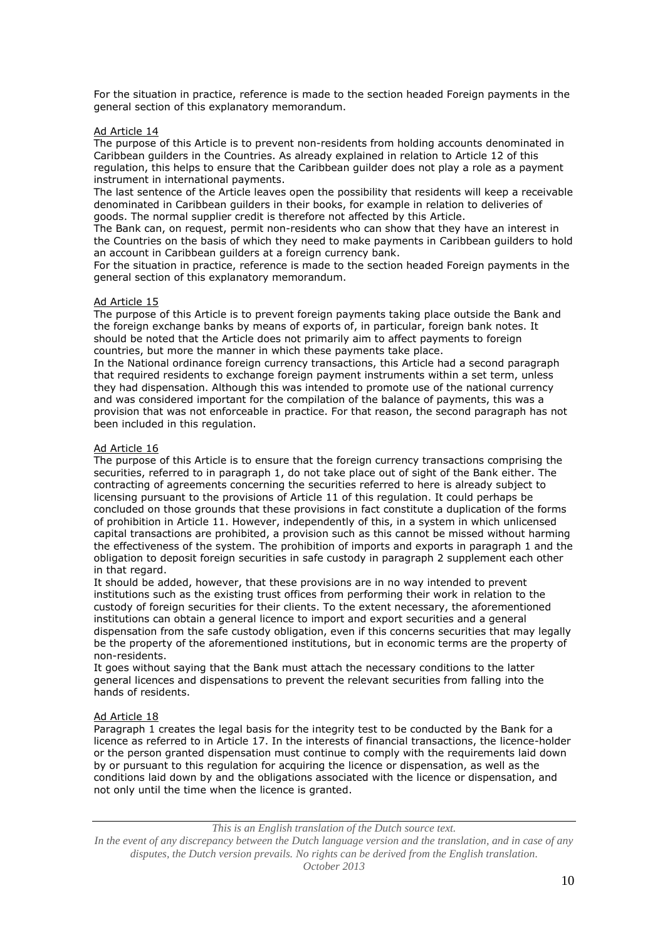For the situation in practice, reference is made to the section headed Foreign payments in the general section of this explanatory memorandum.

#### Ad Article 14

The purpose of this Article is to prevent non-residents from holding accounts denominated in Caribbean guilders in the Countries. As already explained in relation to Article 12 of this regulation, this helps to ensure that the Caribbean guilder does not play a role as a payment instrument in international payments.

The last sentence of the Article leaves open the possibility that residents will keep a receivable denominated in Caribbean guilders in their books, for example in relation to deliveries of goods. The normal supplier credit is therefore not affected by this Article.

The Bank can, on request, permit non-residents who can show that they have an interest in the Countries on the basis of which they need to make payments in Caribbean guilders to hold an account in Caribbean guilders at a foreign currency bank.

For the situation in practice, reference is made to the section headed Foreign payments in the general section of this explanatory memorandum.

### Ad Article 15

The purpose of this Article is to prevent foreign payments taking place outside the Bank and the foreign exchange banks by means of exports of, in particular, foreign bank notes. It should be noted that the Article does not primarily aim to affect payments to foreign countries, but more the manner in which these payments take place.

In the National ordinance foreign currency transactions, this Article had a second paragraph that required residents to exchange foreign payment instruments within a set term, unless they had dispensation. Although this was intended to promote use of the national currency and was considered important for the compilation of the balance of payments, this was a provision that was not enforceable in practice. For that reason, the second paragraph has not been included in this regulation.

### Ad Article 16

The purpose of this Article is to ensure that the foreign currency transactions comprising the securities, referred to in paragraph 1, do not take place out of sight of the Bank either. The contracting of agreements concerning the securities referred to here is already subject to licensing pursuant to the provisions of Article 11 of this regulation. It could perhaps be concluded on those grounds that these provisions in fact constitute a duplication of the forms of prohibition in Article 11. However, independently of this, in a system in which unlicensed capital transactions are prohibited, a provision such as this cannot be missed without harming the effectiveness of the system. The prohibition of imports and exports in paragraph 1 and the obligation to deposit foreign securities in safe custody in paragraph 2 supplement each other in that regard.

It should be added, however, that these provisions are in no way intended to prevent institutions such as the existing trust offices from performing their work in relation to the custody of foreign securities for their clients. To the extent necessary, the aforementioned institutions can obtain a general licence to import and export securities and a general dispensation from the safe custody obligation, even if this concerns securities that may legally be the property of the aforementioned institutions, but in economic terms are the property of non-residents.

It goes without saying that the Bank must attach the necessary conditions to the latter general licences and dispensations to prevent the relevant securities from falling into the hands of residents.

#### Ad Article 18

Paragraph 1 creates the legal basis for the integrity test to be conducted by the Bank for a licence as referred to in Article 17. In the interests of financial transactions, the licence-holder or the person granted dispensation must continue to comply with the requirements laid down by or pursuant to this regulation for acquiring the licence or dispensation, as well as the conditions laid down by and the obligations associated with the licence or dispensation, and not only until the time when the licence is granted.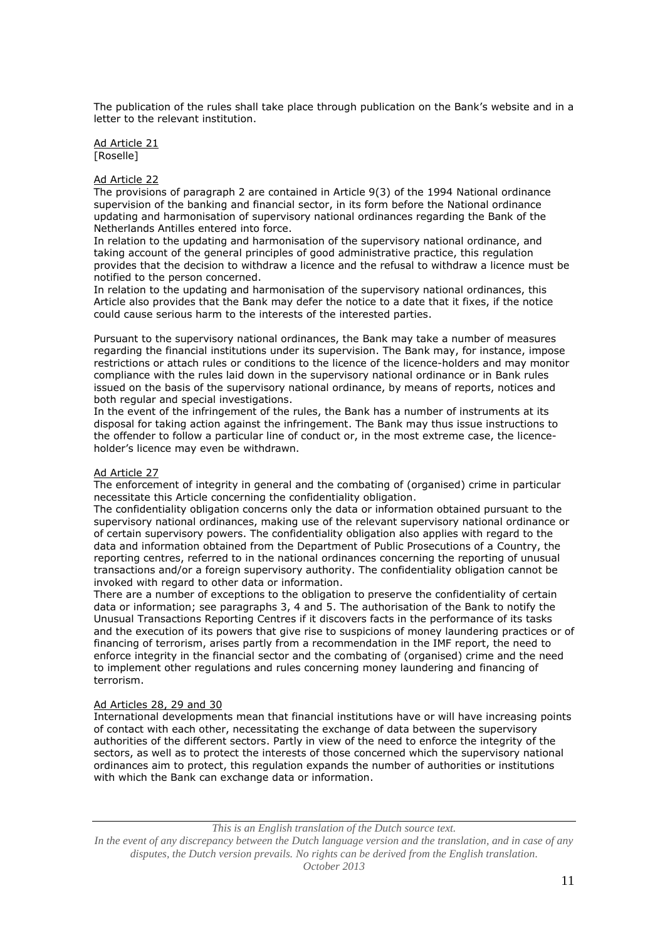The publication of the rules shall take place through publication on the Bank's website and in a letter to the relevant institution.

Ad Article 21 [Roselle]

## Ad Article 22

The provisions of paragraph 2 are contained in Article 9(3) of the 1994 National ordinance supervision of the banking and financial sector, in its form before the National ordinance updating and harmonisation of supervisory national ordinances regarding the Bank of the Netherlands Antilles entered into force.

In relation to the updating and harmonisation of the supervisory national ordinance, and taking account of the general principles of good administrative practice, this regulation provides that the decision to withdraw a licence and the refusal to withdraw a licence must be notified to the person concerned.

In relation to the updating and harmonisation of the supervisory national ordinances, this Article also provides that the Bank may defer the notice to a date that it fixes, if the notice could cause serious harm to the interests of the interested parties.

Pursuant to the supervisory national ordinances, the Bank may take a number of measures regarding the financial institutions under its supervision. The Bank may, for instance, impose restrictions or attach rules or conditions to the licence of the licence-holders and may monitor compliance with the rules laid down in the supervisory national ordinance or in Bank rules issued on the basis of the supervisory national ordinance, by means of reports, notices and both regular and special investigations.

In the event of the infringement of the rules, the Bank has a number of instruments at its disposal for taking action against the infringement. The Bank may thus issue instructions to the offender to follow a particular line of conduct or, in the most extreme case, the licenceholder's licence may even be withdrawn.

## Ad Article 27

The enforcement of integrity in general and the combating of (organised) crime in particular necessitate this Article concerning the confidentiality obligation.

The confidentiality obligation concerns only the data or information obtained pursuant to the supervisory national ordinances, making use of the relevant supervisory national ordinance or of certain supervisory powers. The confidentiality obligation also applies with regard to the data and information obtained from the Department of Public Prosecutions of a Country, the reporting centres, referred to in the national ordinances concerning the reporting of unusual transactions and/or a foreign supervisory authority. The confidentiality obligation cannot be invoked with regard to other data or information.

There are a number of exceptions to the obligation to preserve the confidentiality of certain data or information; see paragraphs 3, 4 and 5. The authorisation of the Bank to notify the Unusual Transactions Reporting Centres if it discovers facts in the performance of its tasks and the execution of its powers that give rise to suspicions of money laundering practices or of financing of terrorism, arises partly from a recommendation in the IMF report, the need to enforce integrity in the financial sector and the combating of (organised) crime and the need to implement other regulations and rules concerning money laundering and financing of terrorism.

## Ad Articles 28, 29 and 30

International developments mean that financial institutions have or will have increasing points of contact with each other, necessitating the exchange of data between the supervisory authorities of the different sectors. Partly in view of the need to enforce the integrity of the sectors, as well as to protect the interests of those concerned which the supervisory national ordinances aim to protect, this regulation expands the number of authorities or institutions with which the Bank can exchange data or information.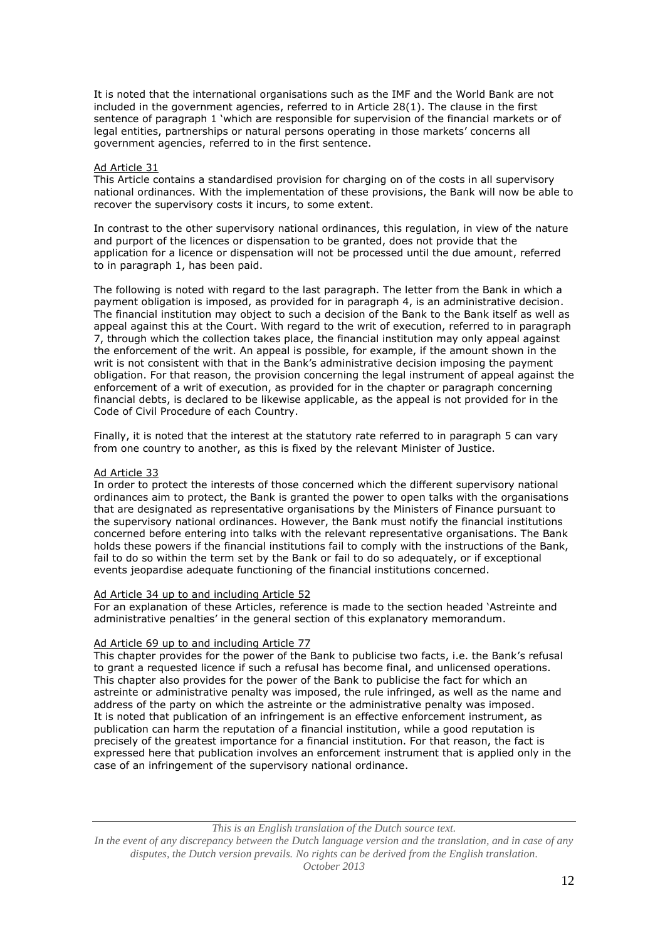It is noted that the international organisations such as the IMF and the World Bank are not included in the government agencies, referred to in Article 28(1). The clause in the first sentence of paragraph 1 'which are responsible for supervision of the financial markets or of legal entities, partnerships or natural persons operating in those markets' concerns all government agencies, referred to in the first sentence.

#### Ad Article 31

This Article contains a standardised provision for charging on of the costs in all supervisory national ordinances. With the implementation of these provisions, the Bank will now be able to recover the supervisory costs it incurs, to some extent.

In contrast to the other supervisory national ordinances, this regulation, in view of the nature and purport of the licences or dispensation to be granted, does not provide that the application for a licence or dispensation will not be processed until the due amount, referred to in paragraph 1, has been paid.

The following is noted with regard to the last paragraph. The letter from the Bank in which a payment obligation is imposed, as provided for in paragraph 4, is an administrative decision. The financial institution may object to such a decision of the Bank to the Bank itself as well as appeal against this at the Court. With regard to the writ of execution, referred to in paragraph 7, through which the collection takes place, the financial institution may only appeal against the enforcement of the writ. An appeal is possible, for example, if the amount shown in the writ is not consistent with that in the Bank's administrative decision imposing the payment obligation. For that reason, the provision concerning the legal instrument of appeal against the enforcement of a writ of execution, as provided for in the chapter or paragraph concerning financial debts, is declared to be likewise applicable, as the appeal is not provided for in the Code of Civil Procedure of each Country.

Finally, it is noted that the interest at the statutory rate referred to in paragraph 5 can vary from one country to another, as this is fixed by the relevant Minister of Justice.

## Ad Article 33

In order to protect the interests of those concerned which the different supervisory national ordinances aim to protect, the Bank is granted the power to open talks with the organisations that are designated as representative organisations by the Ministers of Finance pursuant to the supervisory national ordinances. However, the Bank must notify the financial institutions concerned before entering into talks with the relevant representative organisations. The Bank holds these powers if the financial institutions fail to comply with the instructions of the Bank, fail to do so within the term set by the Bank or fail to do so adequately, or if exceptional events jeopardise adequate functioning of the financial institutions concerned.

#### Ad Article 34 up to and including Article 52

For an explanation of these Articles, reference is made to the section headed 'Astreinte and administrative penalties' in the general section of this explanatory memorandum.

## Ad Article 69 up to and including Article 77

This chapter provides for the power of the Bank to publicise two facts, i.e. the Bank's refusal to grant a requested licence if such a refusal has become final, and unlicensed operations. This chapter also provides for the power of the Bank to publicise the fact for which an astreinte or administrative penalty was imposed, the rule infringed, as well as the name and address of the party on which the astreinte or the administrative penalty was imposed. It is noted that publication of an infringement is an effective enforcement instrument, as publication can harm the reputation of a financial institution, while a good reputation is precisely of the greatest importance for a financial institution. For that reason, the fact is expressed here that publication involves an enforcement instrument that is applied only in the case of an infringement of the supervisory national ordinance.

*This is an English translation of the Dutch source text.*

*In the event of any discrepancy between the Dutch language version and the translation, and in case of any disputes, the Dutch version prevails. No rights can be derived from the English translation. October 2013*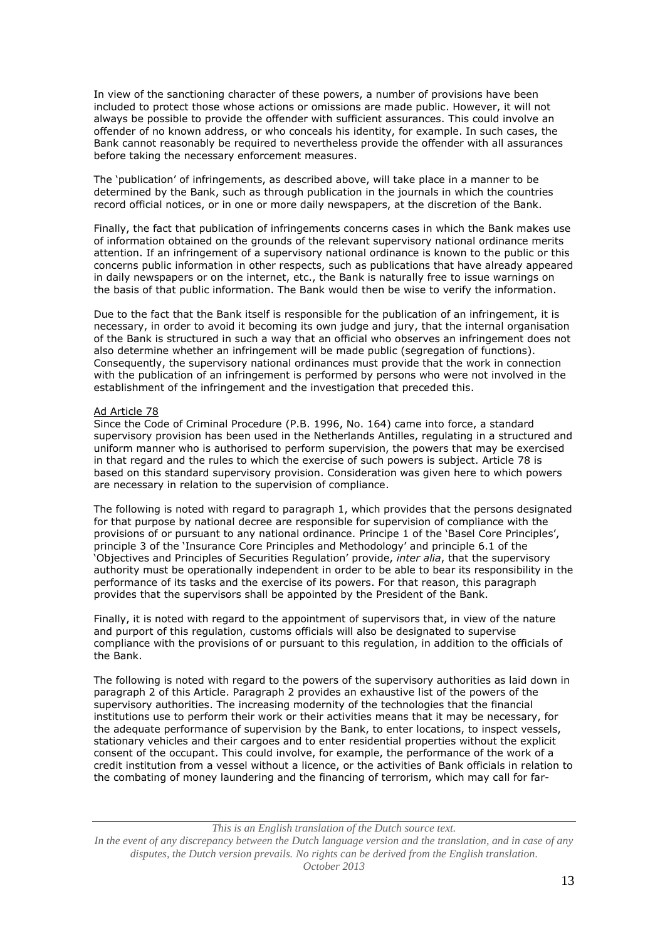In view of the sanctioning character of these powers, a number of provisions have been included to protect those whose actions or omissions are made public. However, it will not always be possible to provide the offender with sufficient assurances. This could involve an offender of no known address, or who conceals his identity, for example. In such cases, the Bank cannot reasonably be required to nevertheless provide the offender with all assurances before taking the necessary enforcement measures.

The 'publication' of infringements, as described above, will take place in a manner to be determined by the Bank, such as through publication in the journals in which the countries record official notices, or in one or more daily newspapers, at the discretion of the Bank.

Finally, the fact that publication of infringements concerns cases in which the Bank makes use of information obtained on the grounds of the relevant supervisory national ordinance merits attention. If an infringement of a supervisory national ordinance is known to the public or this concerns public information in other respects, such as publications that have already appeared in daily newspapers or on the internet, etc., the Bank is naturally free to issue warnings on the basis of that public information. The Bank would then be wise to verify the information.

Due to the fact that the Bank itself is responsible for the publication of an infringement, it is necessary, in order to avoid it becoming its own judge and jury, that the internal organisation of the Bank is structured in such a way that an official who observes an infringement does not also determine whether an infringement will be made public (segregation of functions). Consequently, the supervisory national ordinances must provide that the work in connection with the publication of an infringement is performed by persons who were not involved in the establishment of the infringement and the investigation that preceded this.

### Ad Article 78

Since the Code of Criminal Procedure (P.B. 1996, No. 164) came into force, a standard supervisory provision has been used in the Netherlands Antilles, regulating in a structured and uniform manner who is authorised to perform supervision, the powers that may be exercised in that regard and the rules to which the exercise of such powers is subject. Article 78 is based on this standard supervisory provision. Consideration was given here to which powers are necessary in relation to the supervision of compliance.

The following is noted with regard to paragraph 1, which provides that the persons designated for that purpose by national decree are responsible for supervision of compliance with the provisions of or pursuant to any national ordinance. Principe 1 of the 'Basel Core Principles', principle 3 of the 'Insurance Core Principles and Methodology' and principle 6.1 of the 'Objectives and Principles of Securities Regulation' provide, *inter alia*, that the supervisory authority must be operationally independent in order to be able to bear its responsibility in the performance of its tasks and the exercise of its powers. For that reason, this paragraph provides that the supervisors shall be appointed by the President of the Bank.

Finally, it is noted with regard to the appointment of supervisors that, in view of the nature and purport of this regulation, customs officials will also be designated to supervise compliance with the provisions of or pursuant to this regulation, in addition to the officials of the Bank.

The following is noted with regard to the powers of the supervisory authorities as laid down in paragraph 2 of this Article. Paragraph 2 provides an exhaustive list of the powers of the supervisory authorities. The increasing modernity of the technologies that the financial institutions use to perform their work or their activities means that it may be necessary, for the adequate performance of supervision by the Bank, to enter locations, to inspect vessels, stationary vehicles and their cargoes and to enter residential properties without the explicit consent of the occupant. This could involve, for example, the performance of the work of a credit institution from a vessel without a licence, or the activities of Bank officials in relation to the combating of money laundering and the financing of terrorism, which may call for far-